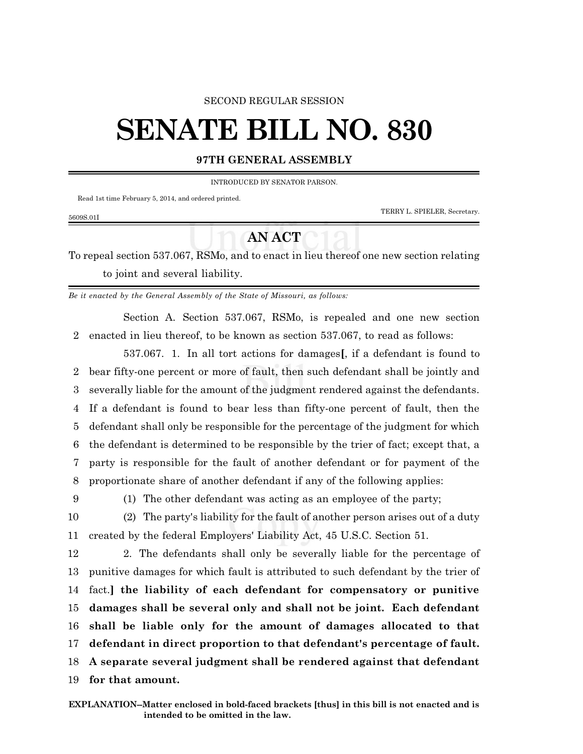## SECOND REGULAR SESSION

## **SENATE BILL NO. 830**

## **97TH GENERAL ASSEMBLY**

INTRODUCED BY SENATOR PARSON.

Read 1st time February 5, 2014, and ordered printed.

TERRY L. SPIELER, Secretary.

## **AN ACT**

To repeal section 537.067, RSMo, and to enact in lieu thereof one new section relating to joint and several liability.

*Be it enacted by the General Assembly of the State of Missouri, as follows:*

Section A. Section 537.067, RSMo, is repealed and one new section 2 enacted in lieu thereof, to be known as section 537.067, to read as follows:

537.067. 1. In all tort actions for damages**[**, if a defendant is found to bear fifty-one percent or more of fault, then such defendant shall be jointly and severally liable for the amount of the judgment rendered against the defendants. If a defendant is found to bear less than fifty-one percent of fault, then the defendant shall only be responsible for the percentage of the judgment for which the defendant is determined to be responsible by the trier of fact; except that, a party is responsible for the fault of another defendant or for payment of the proportionate share of another defendant if any of the following applies:

5609S.01I

9 (1) The other defendant was acting as an employee of the party;

10 (2) The party's liability for the fault of another person arises out of a duty 11 created by the federal Employers' Liability Act, 45 U.S.C. Section 51.

 2. The defendants shall only be severally liable for the percentage of punitive damages for which fault is attributed to such defendant by the trier of fact.**] the liability of each defendant for compensatory or punitive damages shall be several only and shall not be joint. Each defendant shall be liable only for the amount of damages allocated to that defendant in direct proportion to that defendant's percentage of fault. A separate several judgment shall be rendered against that defendant for that amount.**